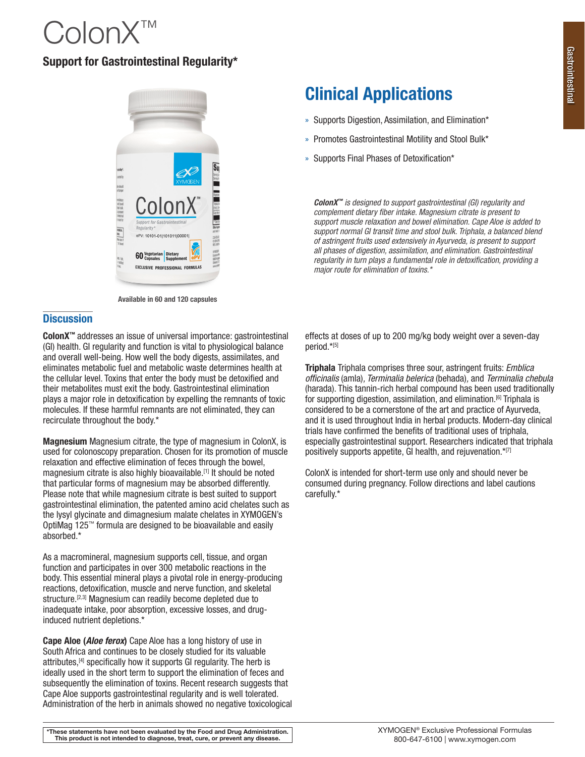# ColonX™

# Support for Gastrointestinal Regularity\*



Available in 60 and 120 capsules

## **Discussion**

ColonX<sup>™</sup> addresses an issue of universal importance: gastrointestinal (GI) health. GI regularity and function is vital to physiological balance and overall well-being. How well the body digests, assimilates, and eliminates metabolic fuel and metabolic waste determines health at the cellular level. Toxins that enter the body must be detoxified and their metabolites must exit the body. Gastrointestinal elimination plays a major role in detoxification by expelling the remnants of toxic molecules. If these harmful remnants are not eliminated, they can recirculate throughout the body.\*

Magnesium Magnesium citrate, the type of magnesium in ColonX, is used for colonoscopy preparation. Chosen for its promotion of muscle relaxation and effective elimination of feces through the bowel, magnesium citrate is also highly bioavailable.[1] It should be noted that particular forms of magnesium may be absorbed differently. Please note that while magnesium citrate is best suited to support gastrointestinal elimination, the patented amino acid chelates such as the lysyl glycinate and dimagnesium malate chelates in XYMOGEN's OptiMag 125™ formula are designed to be bioavailable and easily absorbed.\*

As a macromineral, magnesium supports cell, tissue, and organ function and participates in over 300 metabolic reactions in the body. This essential mineral plays a pivotal role in energy-producing reactions, detoxification, muscle and nerve function, and skeletal structure.<sup>[2,3]</sup> Magnesium can readily become depleted due to inadequate intake, poor absorption, excessive losses, and druginduced nutrient depletions.\*

Cape Aloe (*Aloe ferox*) Cape Aloe has a long history of use in South Africa and continues to be closely studied for its valuable attributes,[4] specifically how it supports GI regularity. The herb is ideally used in the short term to support the elimination of feces and subsequently the elimination of toxins. Recent research suggests that Cape Aloe supports gastrointestinal regularity and is well tolerated. Administration of the herb in animals showed no negative toxicological

# Clinical Applications

- » Supports Digestion, Assimilation, and Elimination\*
- » Promotes Gastrointestinal Motility and Stool Bulk\*
- » Supports Final Phases of Detoxification\*

*ColonX™ is designed to support gastrointestinal (GI) regularity and complement dietary fiber intake. Magnesium citrate is present to support muscle relaxation and bowel elimination. Cape Aloe is added to support normal GI transit time and stool bulk. Triphala, a balanced blend of astringent fruits used extensively in Ayurveda, is present to support all phases of digestion, assimilation, and elimination. Gastrointestinal regularity in turn plays a fundamental role in detoxification, providing a major route for elimination of toxins.\**

effects at doses of up to 200 mg/kg body weight over a seven-day period.\*[5]

Triphala Triphala comprises three sour, astringent fruits: *Emblica officinalis* (amla)*, Terminalia belerica* (behada)*,* and *Terminalia chebula* (harada). This tannin-rich herbal compound has been used traditionally for supporting digestion, assimilation, and elimination.[6] Triphala is considered to be a cornerstone of the art and practice of Ayurveda, and it is used throughout India in herbal products. Modern-day clinical trials have confirmed the benefits of traditional uses of triphala, especially gastrointestinal support. Researchers indicated that triphala positively supports appetite, GI health, and rejuvenation.\*[7]

ColonX is intended for short-term use only and should never be consumed during pregnancy. Follow directions and label cautions carefully.\*